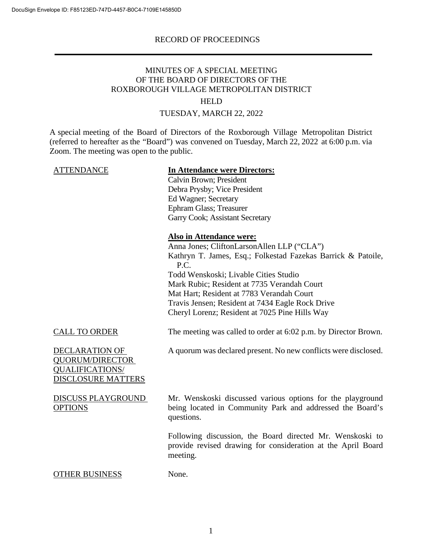# RECORD OF PROCEEDINGS

# MINUTES OF A SPECIAL MEETING OF THE BOARD OF DIRECTORS OF THE ROXBOROUGH VILLAGE METROPOLITAN DISTRICT

# HELD

# TUESDAY, MARCH 22, 2022

A special meeting of the Board of Directors of the Roxborough Village Metropolitan District (referred to hereafter as the "Board") was convened on Tuesday, March 22, 2022 at 6:00 p.m. via Zoom. The meeting was open to the public.

### ATTENDANCE **In Attendance were Directors:**

Calvin Brown; President Debra Prysby; Vice President Ed Wagner; Secretary Ephram Glass; Treasurer Garry Cook; Assistant Secretary

### **Also in Attendance were:**

Anna Jones; CliftonLarsonAllen LLP ("CLA") Kathryn T. James, Esq.; Folkestad Fazekas Barrick & Patoile, P.C. Todd Wenskoski; Livable Cities Studio Mark Rubic; Resident at 7735 Verandah Court Mat Hart; Resident at 7783 Verandah Court Travis Jensen; Resident at 7434 Eagle Rock Drive Cheryl Lorenz; Resident at 7025 Pine Hills Way

CALL TO ORDER The meeting was called to order at 6:02 p.m. by Director Brown.

A quorum was declared present. No new conflicts were disclosed.

DECLARATION OF QUORUM/DIRECTOR QUALIFICATIONS/ DISCLOSURE MATTERS

DISCUSS PLAYGROUND **OPTIONS** 

Mr. Wenskoski discussed various options for the playground being located in Community Park and addressed the Board's questions.

Following discussion, the Board directed Mr. Wenskoski to provide revised drawing for consideration at the April Board meeting.

### OTHER BUSINESS None.